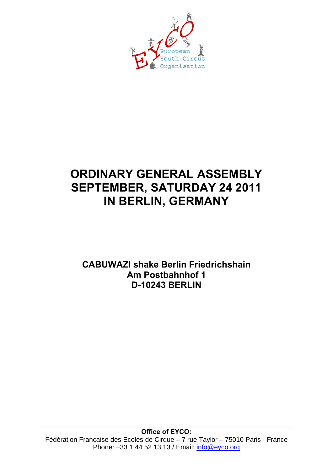

# **ORDINARY GENERAL ASSEMBLY SEPTEMBER, SATURDAY 24 2011 IN BERLIN, GERMANY**

**CABUWAZI shake Berlin Friedrichshain Am Postbahnhof 1 D-10243 BERLIN**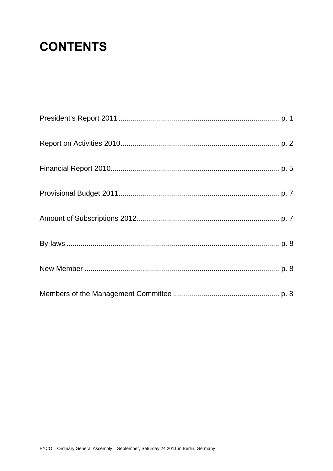# **CONTENTS**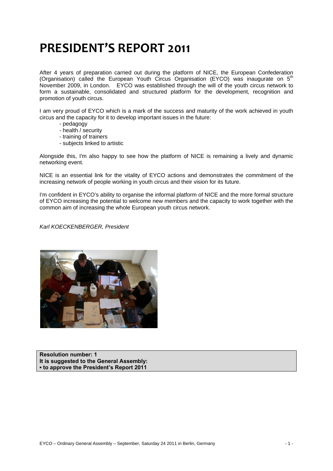# **PRESIDENT'S REPORT 2011**

After 4 years of preparation carried out during the platform of NICE, the European Confederation (Organisation) called the European Youth Circus Organisation (EYCO) was inaugurate on 5<sup>th</sup> November 2009, in London. EYCO was established through the will of the youth circus network to form a sustainable, consolidated and structured platform for the development, recognition and promotion of youth circus.

I am very proud of EYCO which is a mark of the success and maturity of the work achieved in youth circus and the capacity for it to develop important issues in the future:

- pedagogy
- health / security
- training of trainers
- subjects linked to artistic

Alongside this, I'm also happy to see how the platform of NICE is remaining a lively and dynamic networking event.

NICE is an essential link for the vitality of EYCO actions and demonstrates the commitment of the increasing network of people working in youth circus and their vision for its future.

I'm confident in EYCO's ability to organise the informal platform of NICE and the more formal structure of EYCO increasing the potential to welcome new members and the capacity to work together with the common aim of increasing the whole European youth circus network.

*Karl KOECKENBERGER, President* 



**Resolution number: 1 It is suggested to the General Assembly: ▪ to approve the President's Report 2011**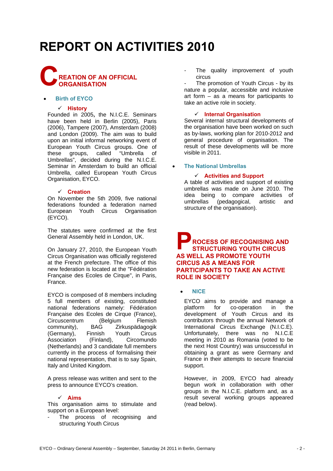# **REPORT ON ACTIVITIES 2010**



#### • **Birth of EYCO**

#### 9 **History**

Founded in 2005**,** the N.I.C.E. Seminars have been held in Berlin (2005), Paris (2006), Tampere (2007), Amsterdam (2008) and London (2009). The aim was to build upon an initial informal networking event of European Youth Circus groups. One of these groups, called "Umbrella of Umbrellas", decided during the N.I.C.E. Seminar in Amsterdam to build an official Umbrella, called European Youth Circus Organisation, EYCO.

#### 9 **Creation**

On November the 5th 2009, five national federations founded a federation named European Youth Circus Organisation (EYCO).

The statutes were confirmed at the first General Assembly held in London, UK.

On January 27, 2010, the European Youth Circus Organisation was officially registered at the French prefecture. The office of this new federation is located at the "Fédération Française des Ecoles de Cirque", in Paris, France.

EYCO is composed of 8 members including 5 full members of existing, constituted national federations namely: Fédération Française des Ecoles de Cirque (France), Circuscentrum (Belgium Flemish community), BAG Zirkuspädagogik (Germany), Finnish Youth Circus<br>Association (Finland), Circomundo Circomundo (Netherlands) and 3 candidate full members currently in the process of formalising their national representation, that is to say Spain, Italy and United Kingdom.

A press release was written and sent to the press to announce EYCO's creation.

#### 9 **Aims**

This organisation aims to stimulate and support on a European level:

The process of recognising and structuring Youth Circus

The quality improvement of youth circus

The promotion of Youth Circus - by its nature a popular, accessible and inclusive art form – as a means for participants to take an active role in society.

#### 9 **Internal Organisation**

Several internal structural developments of the organisation have been worked on such as by-laws, working plan for 2010-2012 and general procedure of organisation. The result of these developments will be more visible in 2011.

#### • **The National Umbrellas**

#### 9 **Activities and Support**

A table of activities and support of existing umbrellas was made on June 2010. The idea being to compare activities of umbrellas (pedagogical, artistic and structure of the organisation).

### **ROCESS OF RECOGNISING AND STRUCTURING YOUTH CIRCUS AS WELL AS PROMOTE YOUTH CIRCUS AS A MEANS FOR PARTICIPANTS TO TAKE AN ACTIVE ROLE IN SOCIETY P**

#### • **NICE**

EYCO aims to provide and manage a platform for co-operation in the development of Youth Circus and its contributors through the annual Network of International Circus Exchange (N.I.C.E). Unfortunately, there was no N.I.C.E meeting in 2010 as Romania (voted to be the next Host Country) was unsuccessful in obtaining a grant as were Germany and France in their attempts to secure financial support.

However, in 2009, EYCO had already begun work in collaboration with other groups in the N.I.C.E. platform and, as a result several working groups appeared (read below).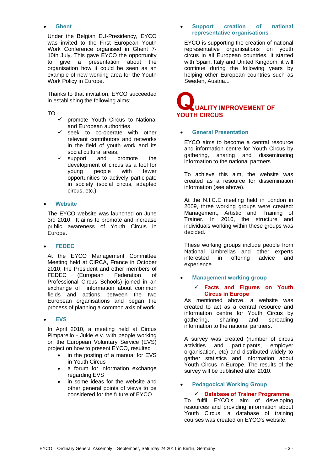#### • **Ghent**

Under the Belgian EU-Presidency, EYCO was invited to the First European Youth Work Conference organised in Ghent 7- 10th July. This gave EYCO the opportunity to give a presentation about the organisation how it could be seen as an example of new working area for the Youth Work Policy in Europe.

Thanks to that invitation, EYCO succeeded in establishing the following aims:

#### TO

- promote Youth Circus to National and European authorities
- $\checkmark$  seek to co-operate with other relevant contributors and networks in the field of youth work and its social cultural areas,
- $\checkmark$  support and promote the development of circus as a tool for young people with fewer opportunities to actively participate in society (social circus, adapted circus, etc.).

#### • **Website**

The EYCO website was launched on June 3rd 2010. It aims to promote and increase public awareness of Youth Circus in Europe.

### • **FEDEC**

At the EYCO Management Committee Meeting held at CIRCA, France in October 2010, the President and other members of FEDEC (European Federation of Professional Circus Schools) joined in an exchange of information about common fields and actions between the two European organisations and began the process of planning a common axis of work.

#### • **EVS**

In April 2010, a meeting held at Circus Pimparello - Jukie e.v. with people working on the European Voluntary Service (EVS) project on how to present EYCO, resulted

- in the posting of a manual for EVS in Youth Circus
- a forum for information exchange regarding EVS
- in some ideas for the website and other general points of views to be considered for the future of EYCO.

### • **Support creation of national representative organisations**

EYCO is supporting the creation of national representative organisations on youth circus in all European countries. It started with Spain, Italy and United Kingdom; it will continue during the following years by helping other European countries such as Sweden, Austria...

# **UALITY IMPROVEMENT OF YOUTH CIRCUS Q**

## • **General Presentation**

EYCO aims to become a central resource and information centre for Youth Circus by gathering, sharing and disseminating information to the national partners.

To achieve this aim, the website was created as a resource for dissemination information (see above).

At the N.I.C.E meeting held in London in 2009, three working groups were created: Management, Artistic and Training of Trainer. In 2010, the structure and individuals working within these groups was decided.

These working groups include people from National Umbrellas and other experts interested in offering advice and experience.

### • **Management working group**

#### 9 **Facts and Figures on Youth Circus in Europe**

As mentioned above, a website was created to act as a central resource and information centre for Youth Circus by gathering, sharing and spreading information to the national partners.

A survey was created (number of circus activities and participants, employer organisation, etc) and distributed widely to gather statistics and information about Youth Circus in Europe. The results of the survey will be published after 2010.

### • **Pedagocical Working Group**

#### 9 **Database of Trainer Programme**

To fulfil EYCO's aim of developing resources and providing information about Youth Circus, a database of training courses was created on EYCO's website.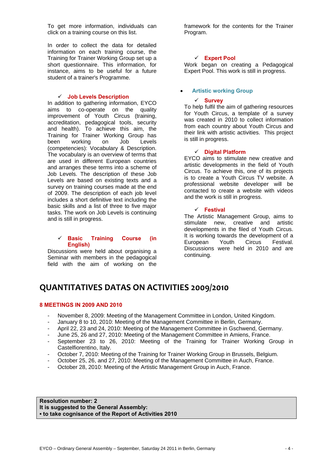To get more information, individuals can click on a training course on this list.

In order to collect the data for detailed information on each training course, the Training for Trainer Working Group set up a short questionnaire. This information, for instance, aims to be useful for a future student of a trainer's Programme.

#### 9 **Job Levels Description**

In addition to gathering information, EYCO aims to co-operate on the quality improvement of Youth Circus (training, accreditation, pedagogical tools, security and health). To achieve this aim, the Training for Trainer Working Group has been working on Job Levels (competencies): Vocabulary & Description. The vocabulary is an overview of terms that are used in different European countries and arranges these terms into a scheme of Job Levels. The description of these Job Levels are based on existing texts and a survey on training courses made at the end of 2009. The description of each job level includes a short definitive text including the basic skills and a list of three to five major tasks. The work on Job Levels is continuing and is still in progress.

#### 9 **Basic Training Course (in English)**

Discussions were held about organising a Seminar with members in the pedagogical field with the aim of working on the framework for the contents for the Trainer Program.

### 9 **Expert Pool**

Work began on creating a Pedagogical Expert Pool. This work is still in progress.

### • **Artistic working Group**

#### 9 **Survey**

To help fulfil the aim of gathering resources for Youth Circus, a template of a survey was created in 2010 to collect information from each country about Youth Circus and their link with artistic activities. This project is still in progress.

#### 9 **Digital Platform**

EYCO aims to stimulate new creative and artistic developments in the field of Youth Circus. To achieve this, one of its projects is to create a Youth Circus TV website. A professional website developer will be contacted to create a website with videos and the work is still in progress.

#### 9 **Festival**

The Artistic Management Group, aims to stimulate new, creative and artistic developments in the filed of Youth Circus. It is working towards the development of a European Youth Circus Festival. Discussions were held in 2010 and are continuing.

# **QUANTITATIVES DATAS ON ACTIVITIES 2009/2010**

#### **8 MEETINGS IN 2009 AND 2010**

- November 8, 2009: Meeting of the Management Committee in London, United Kingdom.
- January 8 to 10, 2010: Meeting of the Management Committee in Berlin, Germany.
- April 22, 23 and 24, 2010: Meeting of the Management Committee in Gschwend, Germany.
- June 25, 26 and 27, 2010: Meeting of the Management Committee in Amiens, France.
- September 23 to 26, 2010: Meeting of the Training for Trainer Working Group in Castelfiorentino, Italy.
- October 7, 2010: Meeting of the Training for Trainer Working Group in Brussels, Belgium.
- October 25, 26, and 27, 2010: Meeting of the Management Committee in Auch, France.
- October 28, 2010: Meeting of the Artistic Management Group in Auch, France.

**Resolution number: 2 It is suggested to the General Assembly: ▪ to take cognisance of the Report of Activities 2010**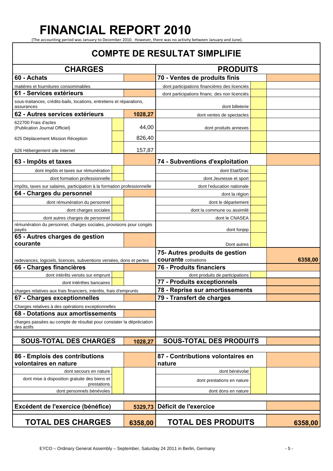# **FINANCIAL REPORT 2010**

(The accounting period was January to December 2010. However, there was no activity between January and June).

## **COMPTE DE RESULTAT SIMPLIFIE CHARGES PRODUITS 60 - Achats 70 - Ventes de produits finis**  matières et fournitures consommables dont participations financières des licenciés **61 - Services extérieurs des la proporcións des non licenciés** dont participations financ. des non licenciés sous-traitances, crédits-bails, locations, entretiens et réparations, assurances dont billeterie **62 - Autres services extérieurs 1028,27** dont ventes de spectacles 622700 Frais d'actes (Publication Journal Officiel) **2008** (Publication Journal Officiel) **2008** dont produits annexes 625 Déplacement Mission Réception **1988** 826,40 626 Hébergement site Internet 157,87 **63 - Impôts et taxes 74 - Subventions d'exploitation**  dont impôts et taxes sur rémunération dont Etat/Drac dont formation professionnelle **dont** dont Jeunesse et sport impôts, taxes sur salaires, participation à la formation professionnelle dont l'education nationale **64 - Charges du personnel and dont la région** dont rémunération du personnel dont le département dont charges sociales **dont** dont la commune ou assimilé dont autres charges de personnel dont le CNASEA rémunération du personnel, charges sociales, provisions pour congés payés dont fonjepayés dont fonjepayés dont fonjepayés dont fonjepayés dont fonjepayés dont fonjepayés dont fonj **65 - Autres charges de gestion courante** Dont autres redevances, logiciels, licences, subventions versées, dons et pertes **75- Autres produits de gestion courante** cotisations **6358.00 66 - Charges financières 76 - Produits financiers**  dont intérêts versés sur emprunt dont produits de participations dont intérêtes bancaires **77 - Produits exceptionnels**  charges relatives aux frais financiers, interêts, frais d'emprunts **78 - Reprise sur amortissements 67 - Charges exceptionnelles 79 - Transfert de charges**  Charges relatives à des opérations exceptionnelles **68 - Dotations aux amortissements**  charges passées au compte de résultat pour constater la dépréciation des actifs **SOUS-TOTAL DES CHARGES 1028,27 SOUS-TOTAL DES PRODUITS 86 - Emplois des contributions volontaires en nature 87 - Contributions volontaires en nature**  dont secours en nature dont bénévolat dont mise à disposition gratuite des biens et des biens et **de later en prestations en nature**<br>prestations **dont prestations** dont personnels bénévoles dont dons en nature **Excédent de l'exercice (bénéfice) 5329,73 Déficit de l'exercice TOTAL DES CHARGES 6358,00 TOTAL DES PRODUITS 6358,00**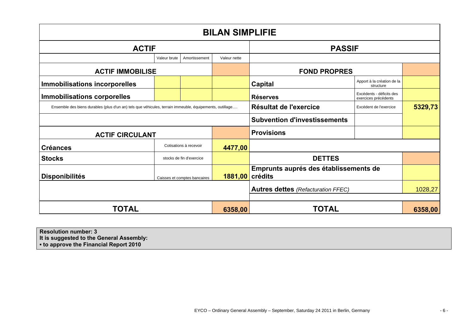| <b>BILAN SIMPLIFIE</b>                                                                                  |                          |                              |                                           |                                       |                                                  |  |  |
|---------------------------------------------------------------------------------------------------------|--------------------------|------------------------------|-------------------------------------------|---------------------------------------|--------------------------------------------------|--|--|
| <b>ACTIF</b>                                                                                            |                          |                              | <b>PASSIF</b>                             |                                       |                                                  |  |  |
|                                                                                                         | Valeur brute             | Amortissement                | Valeur nette                              |                                       |                                                  |  |  |
| <b>ACTIF IMMOBILISE</b>                                                                                 |                          |                              | <b>FOND PROPRES</b>                       |                                       |                                                  |  |  |
| <b>Immobilisations incorporelles</b>                                                                    |                          |                              |                                           | <b>Capital</b>                        | Apport à la création de la<br>structure          |  |  |
| <b>Immobilisations corporelles</b>                                                                      |                          |                              |                                           | <b>Réserves</b>                       | Excédents - déficits des<br>exercices précédents |  |  |
| Ensemble des biens durables (plus d'un an) tels que véhicules, terrain immeuble, équipements, outillage |                          |                              | Résultat de l'exercice                    | Excédent de l'exercice                | 5329,73                                          |  |  |
|                                                                                                         |                          |                              |                                           | <b>Subvention d'investissements</b>   |                                                  |  |  |
| <b>ACTIF CIRCULANT</b>                                                                                  |                          |                              | <b>Provisions</b>                         |                                       |                                                  |  |  |
| <b>Créances</b>                                                                                         |                          | Cotisations à recevoir       | 4477,00                                   |                                       |                                                  |  |  |
| <b>Stocks</b>                                                                                           | stocks de fin d'exercice |                              |                                           | <b>DETTES</b>                         |                                                  |  |  |
| <b>Disponibilités</b>                                                                                   |                          | Caisses et comptes bancaires | 1881,00 crédits                           | Emprunts auprés des établissements de |                                                  |  |  |
|                                                                                                         |                          |                              | <b>Autres dettes (Refacturation FFEC)</b> |                                       | 1028,27                                          |  |  |
|                                                                                                         |                          |                              |                                           |                                       |                                                  |  |  |
| <b>TOTAL</b>                                                                                            |                          | 6358,00                      | <b>TOTAL</b>                              |                                       | 6358,00                                          |  |  |

**Resolution number: 3** 

**It is suggested to the General Assembly:** 

**▪ to approve the Financial Report 2010**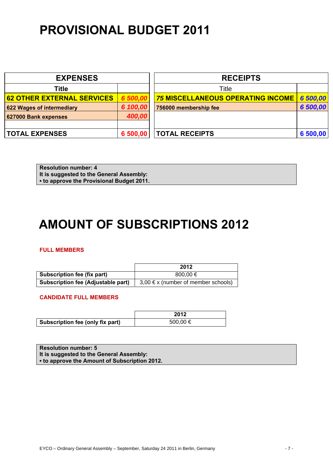# **PROVISIONAL BUDGET 2011**

| <b>EXPENSES</b>                   |          | <b>RECEIPTS</b>                          |          |  |
|-----------------------------------|----------|------------------------------------------|----------|--|
| <b>Title</b>                      |          | Title                                    |          |  |
| <b>62 OTHER EXTERNAL SERVICES</b> | 6 500,00 | <b>75 MISCELLANEOUS OPERATING INCOME</b> | 6 500,00 |  |
| 622 Wages of intermediary         | 6 100,00 | 756000 membership fee                    | 6 500,00 |  |
| 627000 Bank expenses              | 400,00   |                                          |          |  |
|                                   |          |                                          |          |  |
| <b>TOTAL EXPENSES</b>             | 6 500,00 | <b>TOTAL RECEIPTS</b>                    | 6 500,00 |  |

**Resolution number: 4 It is suggested to the General Assembly: ▪ to approve the Provisional Budget 2011.** 

# **AMOUNT OF SUBSCRIPTIONS 2012**

### **FULL MEMBERS**

|                                           | 2012                                    |
|-------------------------------------------|-----------------------------------------|
| Subscription fee (fix part)               | $800.00 \in$                            |
| <b>Subscription fee (Adjustable part)</b> | $3,00 \in x$ (number of member schools) |

**CANDIDATE FULL MEMBERS** 

|                                  | 2012     |
|----------------------------------|----------|
| Subscription fee (only fix part) | 500,00 € |

**Resolution number: 5 It is suggested to the General Assembly: ▪ to approve the Amount of Subscription 2012.**